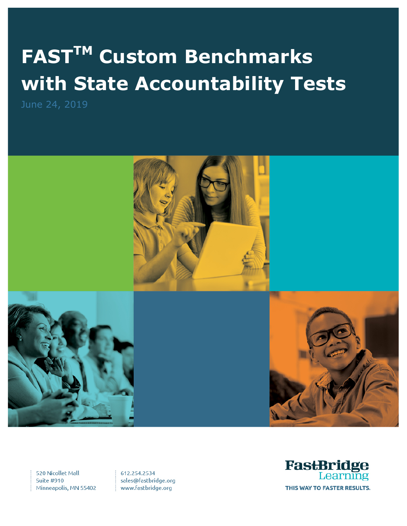# **FASTTM Custom Benchmarks with State Accountability Tests**



520 Nicollet Mall **Suite #910** Minneapolis, MN 55402

612.254.2534 sales@fastbridge.org www.fastbridge.org

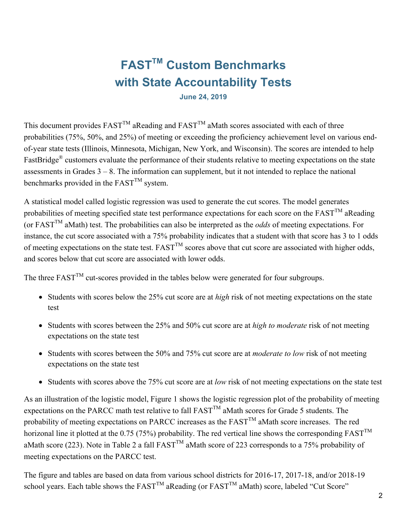# **FASTTM Custom Benchmarks with State Accountability Tests**

**June 24, 2019**

This document provides  $FAST^{TM}$  aReading and  $FAST^{TM}$  aMath scores associated with each of three probabilities (75%, 50%, and 25%) of meeting or exceeding the proficiency achievement level on various endof-year state tests (Illinois, Minnesota, Michigan, New York, and Wisconsin). The scores are intended to help FastBridge® customers evaluate the performance of their students relative to meeting expectations on the state assessments in Grades  $3 - 8$ . The information can supplement, but it not intended to replace the national benchmarks provided in the  $FAST^{TM}$  system.

A statistical model called logistic regression was used to generate the cut scores. The model generates probabilities of meeting specified state test performance expectations for each score on the  $FAST^{TM}$  aReading (or  $FAST^{TM}$  aMath) test. The probabilities can also be interpreted as the *odds* of meeting expectations. For instance, the cut score associated with a 75% probability indicates that a student with that score has 3 to 1 odds of meeting expectations on the state test.  $FAST^{\text{TM}}$  scores above that cut score are associated with higher odds, and scores below that cut score are associated with lower odds.

The three  $FAST^{TM}$  cut-scores provided in the tables below were generated for four subgroups.

- Students with scores below the 25% cut score are at *high* risk of not meeting expectations on the state test
- Students with scores between the 25% and 50% cut score are at *high to moderate* risk of not meeting expectations on the state test
- Students with scores between the 50% and 75% cut score are at *moderate to low* risk of not meeting expectations on the state test
- Students with scores above the 75% cut score are at *low* risk of not meeting expectations on the state test

As an illustration of the logistic model, Figure 1 shows the logistic regression plot of the probability of meeting expectations on the PARCC math test relative to fall FAST<sup>TM</sup> aMath scores for Grade 5 students. The probability of meeting expectations on PARCC increases as the  $FAST^{TM}$  aMath score increases. The red horizonal line it plotted at the 0.75 (75%) probability. The red vertical line shows the corresponding  $FAST^{TM}$ aMath score (223). Note in Table 2 a fall FAST<sup>TM</sup> aMath score of 223 corresponds to a 75% probability of meeting expectations on the PARCC test.

The figure and tables are based on data from various school districts for 2016-17, 2017-18, and/or 2018-19 school years. Each table shows the  $FAST^{TM}$  aReading (or  $FAST^{TM}$  aMath) score, labeled "Cut Score"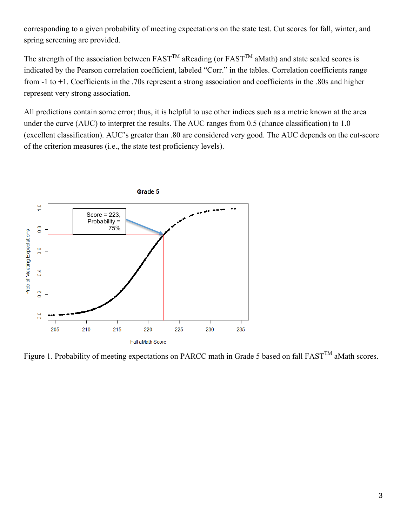corresponding to a given probability of meeting expectations on the state test. Cut scores for fall, winter, and spring screening are provided.

The strength of the association between  $FAST^{TM}$  aReading (or  $FAST^{TM}$  aMath) and state scaled scores is indicated by the Pearson correlation coefficient, labeled "Corr." in the tables. Correlation coefficients range from -1 to +1. Coefficients in the .70s represent a strong association and coefficients in the .80s and higher represent very strong association.

All predictions contain some error; thus, it is helpful to use other indices such as a metric known at the area under the curve (AUC) to interpret the results. The AUC ranges from 0.5 (chance classification) to 1.0 (excellent classification). AUC's greater than .80 are considered very good. The AUC depends on the cut-score of the criterion measures (i.e., the state test proficiency levels).



Figure 1. Probability of meeting expectations on PARCC math in Grade 5 based on fall  $FAST^{TM}$  aMath scores.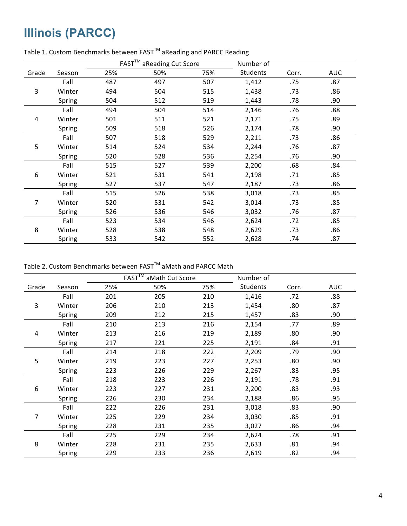# **Illinois (PARCC)**

|       |        |     | $FAST^{\overline{\text{TM}}}$<br>aReading Cut Score |     | Number of |       |            |
|-------|--------|-----|-----------------------------------------------------|-----|-----------|-------|------------|
| Grade | Season | 25% | 50%                                                 | 75% | Students  | Corr. | <b>AUC</b> |
|       | Fall   | 487 | 497                                                 | 507 | 1,412     | .75   | .87        |
| 3     | Winter | 494 | 504                                                 | 515 | 1,438     | .73   | .86        |
|       | Spring | 504 | 512                                                 | 519 | 1,443     | .78   | .90        |
|       | Fall   | 494 | 504                                                 | 514 | 2,146     | .76   | .88        |
| 4     | Winter | 501 | 511                                                 | 521 | 2,171     | .75   | .89        |
|       | Spring | 509 | 518                                                 | 526 | 2,174     | .78   | .90        |
|       | Fall   | 507 | 518                                                 | 529 | 2,211     | .73   | .86        |
| 5     | Winter | 514 | 524                                                 | 534 | 2,244     | .76   | .87        |
|       | Spring | 520 | 528                                                 | 536 | 2,254     | .76   | .90        |
|       | Fall   | 515 | 527                                                 | 539 | 2,200     | .68   | .84        |
| 6     | Winter | 521 | 531                                                 | 541 | 2,198     | .71   | .85        |
|       | Spring | 527 | 537                                                 | 547 | 2,187     | .73   | .86        |
|       | Fall   | 515 | 526                                                 | 538 | 3,018     | .73   | .85        |
| 7     | Winter | 520 | 531                                                 | 542 | 3,014     | .73   | .85        |
|       | Spring | 526 | 536                                                 | 546 | 3,032     | .76   | .87        |
|       | Fall   | 523 | 534                                                 | 546 | 2,624     | .72   | .85        |
| 8     | Winter | 528 | 538                                                 | 548 | 2,629     | .73   | .86        |
|       | Spring | 533 | 542                                                 | 552 | 2,628     | .74   | .87        |

#### Table 1. Custom Benchmarks between  $\text{FAST}^{\text{TM}}$  aReading and PARCC Reading

Table 2. Custom Benchmarks between FAST<sup>™</sup> aMath and PARCC Math

|       |        |     | FAST <sup>TM</sup><br>aMath Cut Score |     | Number of       |       |            |
|-------|--------|-----|---------------------------------------|-----|-----------------|-------|------------|
| Grade | Season | 25% | 50%                                   | 75% | <b>Students</b> | Corr. | <b>AUC</b> |
|       | Fall   | 201 | 205                                   | 210 | 1,416           | .72   | .88        |
| 3     | Winter | 206 | 210                                   | 213 | 1,454           | .80   | .87        |
|       | Spring | 209 | 212                                   | 215 | 1,457           | .83   | .90        |
|       | Fall   | 210 | 213                                   | 216 | 2,154           | .77   | .89        |
| 4     | Winter | 213 | 216                                   | 219 | 2,189           | .80   | .90        |
|       | Spring | 217 | 221                                   | 225 | 2,191           | .84   | .91        |
|       | Fall   | 214 | 218                                   | 222 | 2,209           | .79   | .90        |
| 5     | Winter | 219 | 223                                   | 227 | 2,253           | .80   | .90        |
|       | Spring | 223 | 226                                   | 229 | 2,267           | .83   | .95        |
|       | Fall   | 218 | 223                                   | 226 | 2,191           | .78   | .91        |
| 6     | Winter | 223 | 227                                   | 231 | 2,200           | .83   | .93        |
|       | Spring | 226 | 230                                   | 234 | 2,188           | .86   | .95        |
|       | Fall   | 222 | 226                                   | 231 | 3,018           | .83   | .90        |
| 7     | Winter | 225 | 229                                   | 234 | 3,030           | .85   | .91        |
|       | Spring | 228 | 231                                   | 235 | 3,027           | .86   | .94        |
|       | Fall   | 225 | 229                                   | 234 | 2,624           | .78   | .91        |
| 8     | Winter | 228 | 231                                   | 235 | 2,633           | .81   | .94        |
|       | Spring | 229 | 233                                   | 236 | 2,619           | .82   | .94        |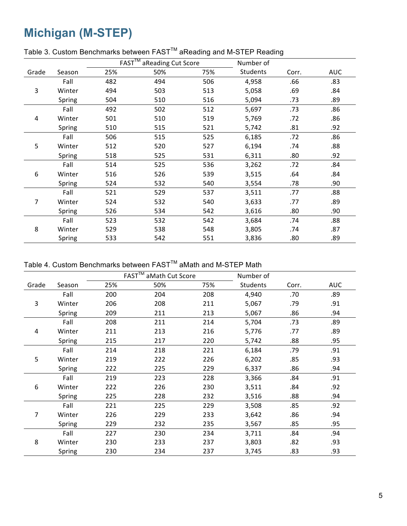## **Michigan (M-STEP)**

|       |        |     | FAST <sup>™</sup> aReading Cut Score |     | Number of       |       |            |
|-------|--------|-----|--------------------------------------|-----|-----------------|-------|------------|
| Grade | Season | 25% | 50%                                  | 75% | <b>Students</b> | Corr. | <b>AUC</b> |
|       | Fall   | 482 | 494                                  | 506 | 4,958           | .66   | .83        |
| 3     | Winter | 494 | 503                                  | 513 | 5,058           | .69   | .84        |
|       | Spring | 504 | 510                                  | 516 | 5,094           | .73   | .89        |
|       | Fall   | 492 | 502                                  | 512 | 5,697           | .73   | .86        |
| 4     | Winter | 501 | 510                                  | 519 | 5,769           | .72   | .86        |
|       | Spring | 510 | 515                                  | 521 | 5,742           | .81   | .92        |
|       | Fall   | 506 | 515                                  | 525 | 6,185           | .72   | .86        |
| 5     | Winter | 512 | 520                                  | 527 | 6,194           | .74   | .88        |
|       | Spring | 518 | 525                                  | 531 | 6,311           | .80   | .92        |
|       | Fall   | 514 | 525                                  | 536 | 3,262           | .72   | .84        |
| 6     | Winter | 516 | 526                                  | 539 | 3,515           | .64   | .84        |
|       | Spring | 524 | 532                                  | 540 | 3,554           | .78   | .90        |
|       | Fall   | 521 | 529                                  | 537 | 3,511           | .77   | .88        |
| 7     | Winter | 524 | 532                                  | 540 | 3,633           | .77   | .89        |
|       | Spring | 526 | 534                                  | 542 | 3,616           | .80   | .90        |
|       | Fall   | 523 | 532                                  | 542 | 3,684           | .74   | .88        |
| 8     | Winter | 529 | 538                                  | 548 | 3,805           | .74   | .87        |
|       | Spring | 533 | 542                                  | 551 | 3,836           | .80   | .89        |

#### Table 3. Custom Benchmarks between FAST<sup>™</sup> aReading and M-STEP Reading

Table 4. Custom Benchmarks between FAST<sup>™</sup> aMath and M-STEP Math

|       |        |     | $FAST^{\overline{TM}}$<br>aMath Cut Score |     | Number of       |       |            |
|-------|--------|-----|-------------------------------------------|-----|-----------------|-------|------------|
| Grade | Season | 25% | 50%                                       | 75% | <b>Students</b> | Corr. | <b>AUC</b> |
|       | Fall   | 200 | 204                                       | 208 | 4,940           | .70   | .89        |
| 3     | Winter | 206 | 208                                       | 211 | 5,067           | .79   | .91        |
|       | Spring | 209 | 211                                       | 213 | 5,067           | .86   | .94        |
|       | Fall   | 208 | 211                                       | 214 | 5,704           | .73   | .89        |
| 4     | Winter | 211 | 213                                       | 216 | 5,776           | .77   | .89        |
|       | Spring | 215 | 217                                       | 220 | 5,742           | .88   | .95        |
|       | Fall   | 214 | 218                                       | 221 | 6,184           | .79   | .91        |
| 5     | Winter | 219 | 222                                       | 226 | 6,202           | .85   | .93        |
|       | Spring | 222 | 225                                       | 229 | 6,337           | .86   | .94        |
|       | Fall   | 219 | 223                                       | 228 | 3,366           | .84   | .91        |
| 6     | Winter | 222 | 226                                       | 230 | 3,511           | .84   | .92        |
|       | Spring | 225 | 228                                       | 232 | 3,516           | .88   | .94        |
|       | Fall   | 221 | 225                                       | 229 | 3,508           | .85   | .92        |
| 7     | Winter | 226 | 229                                       | 233 | 3,642           | .86   | .94        |
|       | Spring | 229 | 232                                       | 235 | 3,567           | .85   | .95        |
|       | Fall   | 227 | 230                                       | 234 | 3,711           | .84   | .94        |
| 8     | Winter | 230 | 233                                       | 237 | 3,803           | .82   | .93        |
|       | Spring | 230 | 234                                       | 237 | 3,745           | .83   | .93        |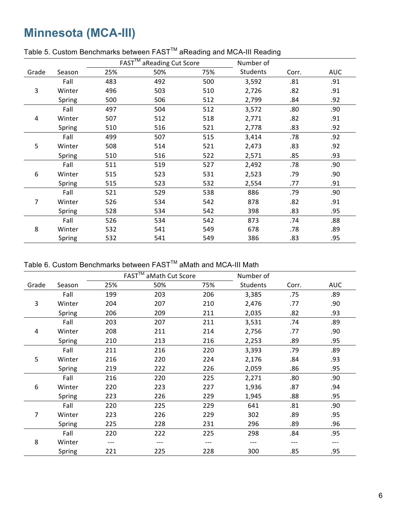### **Minnesota (MCA-III)**

|       |        |     | $FAST^{\overline{TM}}$<br>aReading Cut Score |     | Number of |       |            |
|-------|--------|-----|----------------------------------------------|-----|-----------|-------|------------|
| Grade | Season | 25% | 50%                                          | 75% | Students  | Corr. | <b>AUC</b> |
|       | Fall   | 483 | 492                                          | 500 | 3,592     | .81   | .91        |
| 3     | Winter | 496 | 503                                          | 510 | 2,726     | .82   | .91        |
|       | Spring | 500 | 506                                          | 512 | 2,799     | .84   | .92        |
|       | Fall   | 497 | 504                                          | 512 | 3,572     | .80   | .90        |
| 4     | Winter | 507 | 512                                          | 518 | 2,771     | .82   | .91        |
|       | Spring | 510 | 516                                          | 521 | 2,778     | .83   | .92        |
|       | Fall   | 499 | 507                                          | 515 | 3,414     | .78   | .92        |
| 5     | Winter | 508 | 514                                          | 521 | 2,473     | .83   | .92        |
|       | Spring | 510 | 516                                          | 522 | 2,571     | .85   | .93        |
|       | Fall   | 511 | 519                                          | 527 | 2,492     | .78   | .90        |
| 6     | Winter | 515 | 523                                          | 531 | 2,523     | .79   | .90        |
|       | Spring | 515 | 523                                          | 532 | 2,554     | .77   | .91        |
|       | Fall   | 521 | 529                                          | 538 | 886       | .79   | .90        |
| 7     | Winter | 526 | 534                                          | 542 | 878       | .82   | .91        |
|       | Spring | 528 | 534                                          | 542 | 398       | .83   | .95        |
|       | Fall   | 526 | 534                                          | 542 | 873       | .74   | .88        |
| 8     | Winter | 532 | 541                                          | 549 | 678       | .78   | .89        |
|       | Spring | 532 | 541                                          | 549 | 386       | .83   | .95        |

#### Table 5. Custom Benchmarks between FAST<sup>™</sup> aReading and MCA-III Reading

Table 6. Custom Benchmarks between FAST<sup>™</sup> aMath and MCA-III Math

|       |        |     | FAST <sup>™</sup> aMath Cut Score |     | Number of |       |            |
|-------|--------|-----|-----------------------------------|-----|-----------|-------|------------|
| Grade | Season | 25% | 50%                               | 75% | Students  | Corr. | <b>AUC</b> |
|       | Fall   | 199 | 203                               | 206 | 3,385     | .75   | .89        |
| 3     | Winter | 204 | 207                               | 210 | 2,476     | .77   | .90        |
|       | Spring | 206 | 209                               | 211 | 2,035     | .82   | .93        |
|       | Fall   | 203 | 207                               | 211 | 3,531     | .74   | .89        |
| 4     | Winter | 208 | 211                               | 214 | 2,756     | .77   | .90        |
|       | Spring | 210 | 213                               | 216 | 2,253     | .89   | .95        |
|       | Fall   | 211 | 216                               | 220 | 3,393     | .79   | .89        |
| 5     | Winter | 216 | 220                               | 224 | 2,176     | .84   | .93        |
|       | Spring | 219 | 222                               | 226 | 2,059     | .86   | .95        |
|       | Fall   | 216 | 220                               | 225 | 2,271     | .80   | .90        |
| 6     | Winter | 220 | 223                               | 227 | 1,936     | .87   | .94        |
|       | Spring | 223 | 226                               | 229 | 1,945     | .88   | .95        |
|       | Fall   | 220 | 225                               | 229 | 641       | .81   | .90        |
| 7     | Winter | 223 | 226                               | 229 | 302       | .89   | .95        |
|       | Spring | 225 | 228                               | 231 | 296       | .89   | .96        |
|       | Fall   | 220 | 222                               | 225 | 298       | .84   | .95        |
| 8     | Winter |     |                                   | --- |           |       | ---        |
|       | Spring | 221 | 225                               | 228 | 300       | .85   | .95        |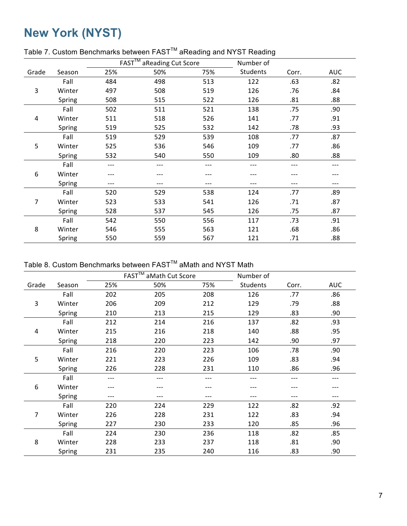## **New York (NYST)**

|       |        |     | <b>FAST™</b><br>aReading Cut Score |     | Number of       |       |            |
|-------|--------|-----|------------------------------------|-----|-----------------|-------|------------|
| Grade | Season | 25% | 50%                                | 75% | <b>Students</b> | Corr. | <b>AUC</b> |
|       | Fall   | 484 | 498                                | 513 | 122             | .63   | .82        |
| 3     | Winter | 497 | 508                                | 519 | 126             | .76   | .84        |
|       | Spring | 508 | 515                                | 522 | 126             | .81   | .88        |
|       | Fall   | 502 | 511                                | 521 | 138             | .75   | .90        |
| 4     | Winter | 511 | 518                                | 526 | 141             | .77   | .91        |
|       | Spring | 519 | 525                                | 532 | 142             | .78   | .93        |
|       | Fall   | 519 | 529                                | 539 | 108             | .77   | .87        |
| 5     | Winter | 525 | 536                                | 546 | 109             | .77   | .86        |
|       | Spring | 532 | 540                                | 550 | 109             | .80   | .88        |
|       | Fall   | --- | ---                                | --- | $---$           | ---   | ---        |
| 6     | Winter |     |                                    |     |                 |       |            |
|       | Spring | --- | ---                                | --- | ---             | ---   | $---$      |
|       | Fall   | 520 | 529                                | 538 | 124             | .77   | .89        |
| 7     | Winter | 523 | 533                                | 541 | 126             | .71   | .87        |
|       | Spring | 528 | 537                                | 545 | 126             | .75   | .87        |
|       | Fall   | 542 | 550                                | 556 | 117             | .73   | .91        |
| 8     | Winter | 546 | 555                                | 563 | 121             | .68   | .86        |
|       | Spring | 550 | 559                                | 567 | 121             | .71   | .88        |

#### Table 7. Custom Benchmarks between FAST<sup>™</sup> aReading and NYST Reading

Table 8. Custom Benchmarks between FAST<sup>™</sup> aMath and NYST Math

|       |        |     | FAST <sup>™</sup> aMath Cut Score |     | Number of |       |            |
|-------|--------|-----|-----------------------------------|-----|-----------|-------|------------|
| Grade | Season | 25% | 50%                               | 75% | Students  | Corr. | <b>AUC</b> |
|       | Fall   | 202 | 205                               | 208 | 126       | .77   | .86        |
| 3     | Winter | 206 | 209                               | 212 | 129       | .79   | .88        |
|       | Spring | 210 | 213                               | 215 | 129       | .83   | .90        |
|       | Fall   | 212 | 214                               | 216 | 137       | .82   | .93        |
| 4     | Winter | 215 | 216                               | 218 | 140       | .88   | .95        |
|       | Spring | 218 | 220                               | 223 | 142       | .90   | .97        |
|       | Fall   | 216 | 220                               | 223 | 106       | .78   | .90        |
| 5     | Winter | 221 | 223                               | 226 | 109       | .83   | .94        |
|       | Spring | 226 | 228                               | 231 | 110       | .86   | .96        |
|       | Fall   |     | ---                               | --- | ---       |       | ---        |
| 6     | Winter |     |                                   |     |           |       |            |
|       | Spring | --- | ---                               | --- | ---       | ---   | ---        |
|       | Fall   | 220 | 224                               | 229 | 122       | .82   | .92        |
| 7     | Winter | 226 | 228                               | 231 | 122       | .83   | .94        |
|       | Spring | 227 | 230                               | 233 | 120       | .85   | .96        |
|       | Fall   | 224 | 230                               | 236 | 118       | .82   | .85        |
| 8     | Winter | 228 | 233                               | 237 | 118       | .81   | .90        |
|       | Spring | 231 | 235                               | 240 | 116       | .83   | .90        |